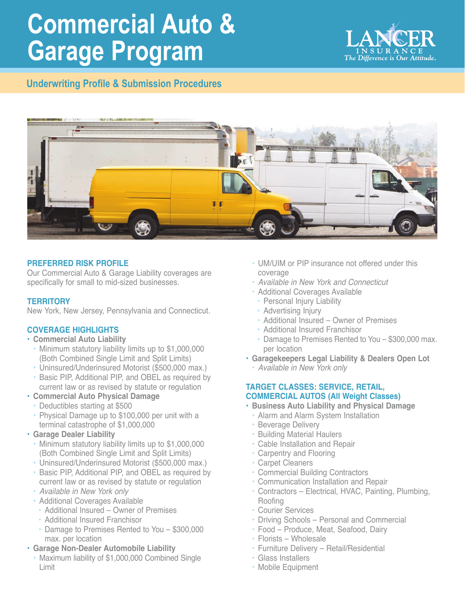# **Commercial Auto & Garage Program**

**Underwriting Profile & Submission Procedures**





# **PREFERRED RISK PROFILE**

Our Commercial Auto & Garage Liability coverages are specifically for small to mid-sized businesses.

### **TERRITORY**

New York, New Jersey, Pennsylvania and Connecticut.

# **COVERAGE HIGHLIGHTS**

#### • **Commercial Auto Liability**

- Minimum statutory liability limits up to \$1,000,000 (Both Combined Single Limit and Split Limits)
- Uninsured/Underinsured Motorist (\$500,000 max.)
- Basic PIP, Additional PIP, and OBEL as required by current law or as revised by statute or regulation
- **Commercial Auto Physical Damage**
	- Deductibles starting at \$500
	- Physical Damage up to \$100,000 per unit with a terminal catastrophe of \$1,000,000

#### • **Garage Dealer Liability**

- Minimum statutory liability limits up to \$1,000,000 (Both Combined Single Limit and Split Limits)
- Uninsured/Underinsured Motorist (\$500,000 max.)
- Basic PIP, Additional PIP, and OBEL as required by current law or as revised by statute or regulation
- *Available in New York only*
- Additional Coverages Available
	- Additional Insured Owner of Premises
	- Additional Insured Franchisor
	- Damage to Premises Rented to You \$300,000 max. per location
- **Garage Non-Dealer Automobile Liability**
	- Maximum liability of \$1,000,000 Combined Single Limit
- UM/UIM or PIP insurance not offered under this coverage
- *Available in New York and Connecticut*
- Additional Coverages Available
- Personal Injury Liability
- Advertising Injury
- Additional Insured Owner of Premises
- Additional Insured Franchisor
- Damage to Premises Rented to You \$300,000 max. per location
- **Garagekeepers Legal Liability & Dealers Open Lot** 
	- *Available in New York only*

### **TARGET CLASSES: SERVICE, RETAIL, COMMERCIAL AUTOS (All Weight Classes)**

- **Business Auto Liability and Physical Damage**
- Alarm and Alarm System Installation
- Beverage Delivery
- Building Material Haulers
- Cable Installation and Repair
- Carpentry and Flooring
- Carpet Cleaners
- Commercial Building Contractors
- Communication Installation and Repair
- Contractors Electrical, HVAC, Painting, Plumbing, Roofing
- Courier Services
- Driving Schools Personal and Commercial
- Food Produce, Meat, Seafood, Dairy
- Florists Wholesale
- Furniture Delivery Retail/Residential
- Glass Installers
- Mobile Equipment